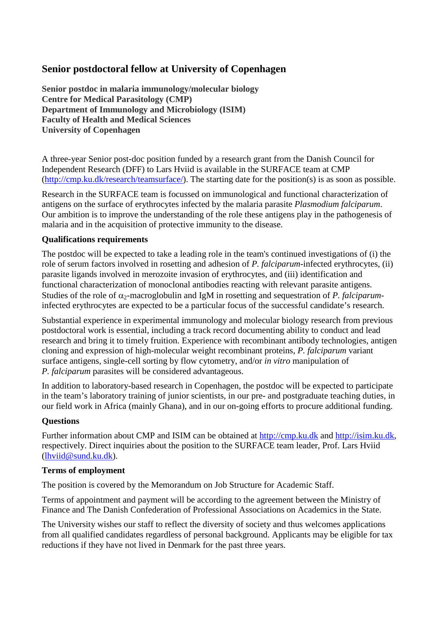# **Senior postdoctoral fellow at University of Copenhagen**

**Senior postdoc in malaria immunology/molecular biology Centre for Medical Parasitology (CMP) Department of Immunology and Microbiology (ISIM) Faculty of Health and Medical Sciences University of Copenhagen**

A three-year Senior post-doc position funded by a research grant from the Danish Council for Independent Research (DFF) to Lars Hviid is available in the SURFACE team at CMP [\(http://cmp.ku.dk/research/teamsurface/\)](http://cmp.ku.dk/research/teamsurface/). The starting date for the position(s) is as soon as possible.

Research in the SURFACE team is focussed on immunological and functional characterization of antigens on the surface of erythrocytes infected by the malaria parasite *Plasmodium falciparum*. Our ambition is to improve the understanding of the role these antigens play in the pathogenesis of malaria and in the acquisition of protective immunity to the disease.

#### **Qualifications requirements**

The postdoc will be expected to take a leading role in the team's continued investigations of (i) the role of serum factors involved in rosetting and adhesion of *P. falciparum*-infected erythrocytes, (ii) parasite ligands involved in merozoite invasion of erythrocytes, and (iii) identification and functional characterization of monoclonal antibodies reacting with relevant parasite antigens. Studies of the role of  $\alpha_2$ -macroglobulin and IgM in rosetting and sequestration of *P. falciparum*infected erythrocytes are expected to be a particular focus of the successful candidate's research.

Substantial experience in experimental immunology and molecular biology research from previous postdoctoral work is essential, including a track record documenting ability to conduct and lead research and bring it to timely fruition. Experience with recombinant antibody technologies, antigen cloning and expression of high-molecular weight recombinant proteins, *P. falciparum* variant surface antigens, single-cell sorting by flow cytometry, and/or *in vitro* manipulation of *P. falciparum* parasites will be considered advantageous.

In addition to laboratory-based research in Copenhagen, the postdoc will be expected to participate in the team's laboratory training of junior scientists, in our pre- and postgraduate teaching duties, in our field work in Africa (mainly Ghana), and in our on-going efforts to procure additional funding.

#### **Questions**

Further information about CMP and ISIM can be obtained at [http://cmp.ku.dk](http://cmp.ku.dk/) and [http://isim.ku.dk,](http://isim.ku.dk/) respectively. Direct inquiries about the position to the SURFACE team leader, Prof. Lars Hviid [\(lhviid@sund.ku.dk\)](mailto:lhviid@sund.ku.dk).

#### **Terms of employment**

The position is covered by the Memorandum on Job Structure for Academic Staff.

Terms of appointment and payment will be according to the agreement between the Ministry of Finance and The Danish Confederation of Professional Associations on Academics in the State.

The University wishes our staff to reflect the diversity of society and thus welcomes applications from all qualified candidates regardless of personal background. Applicants may be eligible for tax reductions if they have not lived in Denmark for the past three years.